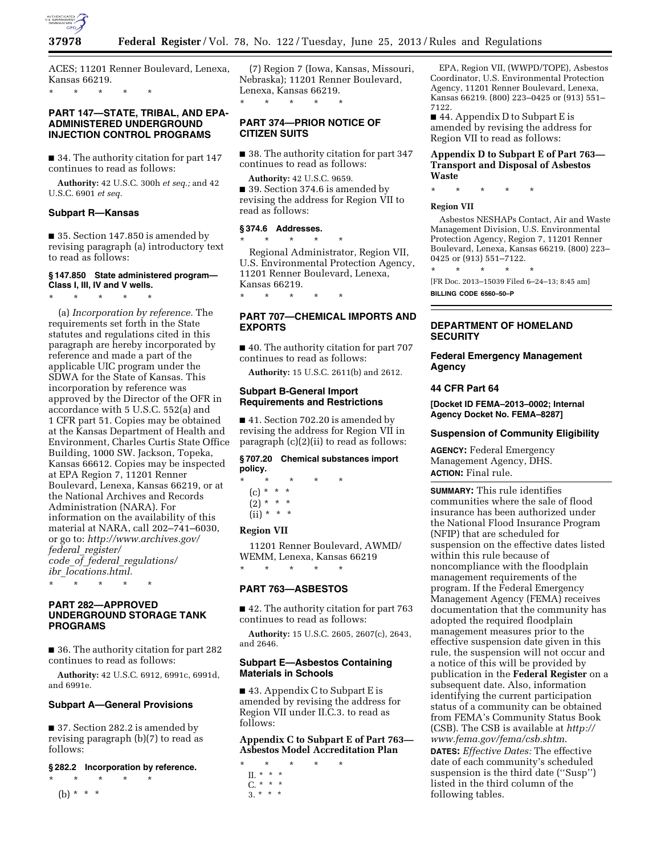

ACES; 11201 Renner Boulevard, Lenexa, Kansas 66219.

\* \* \* \* \*

## **PART 147—STATE, TRIBAL, AND EPA-ADMINISTERED UNDERGROUND INJECTION CONTROL PROGRAMS**

■ 34. The authority citation for part 147 continues to read as follows:

**Authority:** 42 U.S.C. 300h *et seq.;* and 42 U.S.C. 6901 *et seq.* 

### **Subpart R—Kansas**

■ 35. Section 147.850 is amended by revising paragraph (a) introductory text to read as follows:

#### **§ 147.850 State administered program— Class I, III, IV and V wells.**

\* \* \* \* \*

(a) *Incorporation by reference.* The requirements set forth in the State statutes and regulations cited in this paragraph are hereby incorporated by reference and made a part of the applicable UIC program under the SDWA for the State of Kansas. This incorporation by reference was approved by the Director of the OFR in accordance with 5 U.S.C. 552(a) and 1 CFR part 51. Copies may be obtained at the Kansas Department of Health and Environment, Charles Curtis State Office Building, 1000 SW. Jackson, Topeka, Kansas 66612. Copies may be inspected at EPA Region 7, 11201 Renner Boulevard, Lenexa, Kansas 66219, or at the National Archives and Records Administration (NARA). For information on the availability of this material at NARA, call 202–741–6030, or go to: *[http://www.archives.gov/](http://www.archives.gov/federal_register/code_of_federal_regulations/ibr_locations.html) federal*\_*[register/](http://www.archives.gov/federal_register/code_of_federal_regulations/ibr_locations.html) code*\_*of*\_*federal*\_*[regulations/](http://www.archives.gov/federal_register/code_of_federal_regulations/ibr_locations.html)  ibr*\_*[locations.html.](http://www.archives.gov/federal_register/code_of_federal_regulations/ibr_locations.html)* 

\* \* \* \* \*

## **PART 282—APPROVED UNDERGROUND STORAGE TANK PROGRAMS**

■ 36. The authority citation for part 282 continues to read as follows:

**Authority:** 42 U.S.C. 6912, 6991c, 6991d, and 6991e.

### **Subpart A—General Provisions**

■ 37. Section 282.2 is amended by revising paragraph (b)(7) to read as follows:

### **§ 282.2 Incorporation by reference.**

\* \* \* \* \*

(b) \* \* \*

(7) Region 7 (Iowa, Kansas, Missouri, Nebraska); 11201 Renner Boulevard, Lenexa, Kansas 66219.

## **PART 374—PRIOR NOTICE OF CITIZEN SUITS**

\* \* \* \* \*

■ 38. The authority citation for part 347 continues to read as follows:

**Authority:** 42 U.S.C. 9659. ■ 39. Section 374.6 is amended by revising the address for Region VII to read as follows:

#### **§ 374.6 Addresses.**

\* \* \* \* \* Regional Administrator, Region VII, U.S. Environmental Protection Agency, 11201 Renner Boulevard, Lenexa, Kansas 66219. \* \* \* \* \*

# **PART 707—CHEMICAL IMPORTS AND EXPORTS**

■ 40. The authority citation for part 707 continues to read as follows:

**Authority:** 15 U.S.C. 2611(b) and 2612.

## **Subpart B-General Import Requirements and Restrictions**

■ 41. Section 702.20 is amended by revising the address for Region VII in paragraph (c)(2)(ii) to read as follows:

# **§ 707.20 Chemical substances import policy.**

- \* \* \* \* \* (c) \* \* \*  $(2) * * * *$ 
	- $(ii) * * * *$

## **Region VII**

11201 Renner Boulevard, AWMD/ WEMM, Lenexa, Kansas 66219 \* \* \* \* \*

## **PART 763—ASBESTOS**

■ 42. The authority citation for part 763 continues to read as follows:

**Authority:** 15 U.S.C. 2605, 2607(c), 2643, and 2646.

### **Subpart E—Asbestos Containing Materials in Schools**

■ 43. Appendix C to Subpart E is amended by revising the address for Region VII under II.C.3. to read as follows:

## **Appendix C to Subpart E of Part 763— Asbestos Model Accreditation Plan**

- \* \* \* \* \*
- II. \* \* \*  $C. * * * *$
- 
- $\frac{3}{3}$  \* \* \*

EPA, Region VII, (WWPD/TOPE), Asbestos Coordinator, U.S. Environmental Protection Agency, 11201 Renner Boulevard, Lenexa, Kansas 66219. (800) 223–0425 or (913) 551– 7122.

■ 44. Appendix D to Subpart E is amended by revising the address for Region VII to read as follows:

### **Appendix D to Subpart E of Part 763— Transport and Disposal of Asbestos Waste**

\* \* \* \* \*

## **Region VII**

Asbestos NESHAPs Contact, Air and Waste Management Division, U.S. Environmental Protection Agency, Region 7, 11201 Renner Boulevard, Lenexa, Kansas 66219. (800) 223– 0425 or (913) 551–7122.

\* \* \* \* \* [FR Doc. 2013–15039 Filed 6–24–13; 8:45 am] **BILLING CODE 6560–50–P** 

## **DEPARTMENT OF HOMELAND SECURITY**

**Federal Emergency Management Agency** 

### **44 CFR Part 64**

**[Docket ID FEMA–2013–0002; Internal Agency Docket No. FEMA–8287]** 

## **Suspension of Community Eligibility**

**AGENCY:** Federal Emergency Management Agency, DHS. **ACTION:** Final rule.

**SUMMARY:** This rule identifies communities where the sale of flood insurance has been authorized under the National Flood Insurance Program (NFIP) that are scheduled for suspension on the effective dates listed within this rule because of noncompliance with the floodplain management requirements of the program. If the Federal Emergency Management Agency (FEMA) receives documentation that the community has adopted the required floodplain management measures prior to the effective suspension date given in this rule, the suspension will not occur and a notice of this will be provided by publication in the **Federal Register** on a subsequent date. Also, information identifying the current participation status of a community can be obtained from FEMA's Community Status Book (CSB). The CSB is available at *[http://](http://www.fema.gov/fema/csb.shtm) [www.fema.gov/fema/csb.shtm](http://www.fema.gov/fema/csb.shtm)*. **DATES:** *Effective Dates:* The effective date of each community's scheduled

suspension is the third date (''Susp'') listed in the third column of the following tables.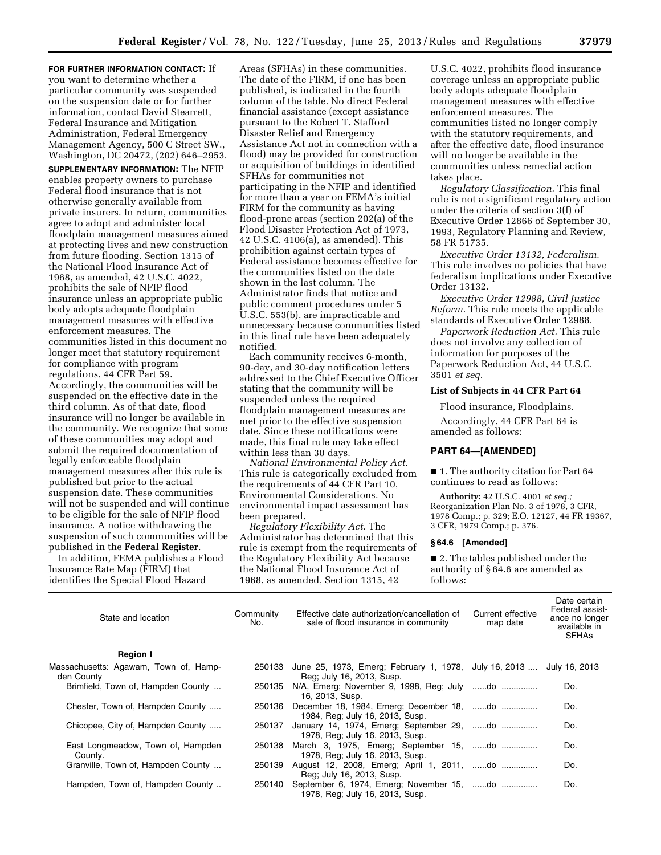**FOR FURTHER INFORMATION CONTACT:** If you want to determine whether a particular community was suspended on the suspension date or for further information, contact David Stearrett, Federal Insurance and Mitigation Administration, Federal Emergency Management Agency, 500 C Street SW., Washington, DC 20472, (202) 646–2953.

**SUPPLEMENTARY INFORMATION:** The NFIP enables property owners to purchase Federal flood insurance that is not otherwise generally available from private insurers. In return, communities agree to adopt and administer local floodplain management measures aimed at protecting lives and new construction from future flooding. Section 1315 of the National Flood Insurance Act of 1968, as amended, 42 U.S.C. 4022, prohibits the sale of NFIP flood insurance unless an appropriate public body adopts adequate floodplain management measures with effective enforcement measures. The communities listed in this document no longer meet that statutory requirement for compliance with program regulations, 44 CFR Part 59. Accordingly, the communities will be suspended on the effective date in the third column. As of that date, flood insurance will no longer be available in the community. We recognize that some of these communities may adopt and submit the required documentation of legally enforceable floodplain management measures after this rule is published but prior to the actual suspension date. These communities will not be suspended and will continue to be eligible for the sale of NFIP flood insurance. A notice withdrawing the suspension of such communities will be published in the **Federal Register**.

In addition, FEMA publishes a Flood Insurance Rate Map (FIRM) that identifies the Special Flood Hazard

Areas (SFHAs) in these communities. The date of the FIRM, if one has been published, is indicated in the fourth column of the table. No direct Federal financial assistance (except assistance pursuant to the Robert T. Stafford Disaster Relief and Emergency Assistance Act not in connection with a flood) may be provided for construction or acquisition of buildings in identified SFHAs for communities not participating in the NFIP and identified for more than a year on FEMA's initial FIRM for the community as having flood-prone areas (section 202(a) of the Flood Disaster Protection Act of 1973, 42 U.S.C. 4106(a), as amended). This prohibition against certain types of Federal assistance becomes effective for the communities listed on the date shown in the last column. The Administrator finds that notice and public comment procedures under 5 U.S.C. 553(b), are impracticable and unnecessary because communities listed in this final rule have been adequately notified.

Each community receives 6-month, 90-day, and 30-day notification letters addressed to the Chief Executive Officer stating that the community will be suspended unless the required floodplain management measures are met prior to the effective suspension date. Since these notifications were made, this final rule may take effect within less than 30 days.

*National Environmental Policy Act.*  This rule is categorically excluded from the requirements of 44 CFR Part 10, Environmental Considerations. No environmental impact assessment has been prepared.

*Regulatory Flexibility Act.* The Administrator has determined that this rule is exempt from the requirements of the Regulatory Flexibility Act because the National Flood Insurance Act of 1968, as amended, Section 1315, 42

U.S.C. 4022, prohibits flood insurance coverage unless an appropriate public body adopts adequate floodplain management measures with effective enforcement measures. The communities listed no longer comply with the statutory requirements, and after the effective date, flood insurance will no longer be available in the communities unless remedial action takes place.

*Regulatory Classification.* This final rule is not a significant regulatory action under the criteria of section 3(f) of Executive Order 12866 of September 30, 1993, Regulatory Planning and Review, 58 FR 51735.

*Executive Order 13132, Federalism.*  This rule involves no policies that have federalism implications under Executive Order 13132.

*Executive Order 12988, Civil Justice Reform.* This rule meets the applicable standards of Executive Order 12988.

*Paperwork Reduction Act.* This rule does not involve any collection of information for purposes of the Paperwork Reduction Act, 44 U.S.C. 3501 *et seq.* 

## **List of Subjects in 44 CFR Part 64**

Flood insurance, Floodplains. Accordingly, 44 CFR Part 64 is amended as follows:

## **PART 64—[AMENDED]**

■ 1. The authority citation for Part 64 continues to read as follows:

**Authority:** 42 U.S.C. 4001 *et seq.;*  Reorganization Plan No. 3 of 1978, 3 CFR, 1978 Comp.; p. 329; E.O. 12127, 44 FR 19367, 3 CFR, 1979 Comp.; p. 376.

#### **§ 64.6 [Amended]**

■ 2. The tables published under the authority of § 64.6 are amended as follows:

| State and location                                  | Community<br>No. | Effective date authorization/cancellation of<br>sale of flood insurance in community | Current effective<br>map date | Date certain<br>Federal assist-<br>ance no longer<br>available in<br><b>SFHAs</b> |
|-----------------------------------------------------|------------------|--------------------------------------------------------------------------------------|-------------------------------|-----------------------------------------------------------------------------------|
| <b>Region I</b>                                     |                  |                                                                                      |                               |                                                                                   |
| Massachusetts: Agawam, Town of, Hamp-<br>den County | 250133           | June 25, 1973, Emerg; February 1, 1978, July 16, 2013<br>Reg; July 16, 2013, Susp.   |                               | July 16, 2013                                                                     |
| Brimfield, Town of, Hampden County                  | 250135           | $N/A$ , Emerg; November 9, 1998, Reg; July $ $ do<br>16, 2013, Susp.                 |                               | Do.                                                                               |
| Chester, Town of, Hampden County                    | 250136           | December 18, 1984, Emerg; December 18,<br>1984, Reg; July 16, 2013, Susp.            | do                            | Do.                                                                               |
| Chicopee, City of, Hampden County                   | 250137           | January 14, 1974, Emerg; September 29,   do<br>1978, Reg; July 16, 2013, Susp.       |                               | Do.                                                                               |
| East Longmeadow, Town of, Hampden<br>County.        | 250138           | March 3, 1975, Emerg; September 15, do<br>1978, Reg; July 16, 2013, Susp.            |                               | Do.                                                                               |
| Granville, Town of, Hampden County                  | 250139           | August 12, 2008, Emerg; April 1, 2011,   do<br>Reg; July 16, 2013, Susp.             |                               | Do.                                                                               |
| Hampden, Town of, Hampden County                    | 250140           | September 6, 1974, Emerg; November 15,   do<br>1978, Reg; July 16, 2013, Susp.       |                               | Do.                                                                               |